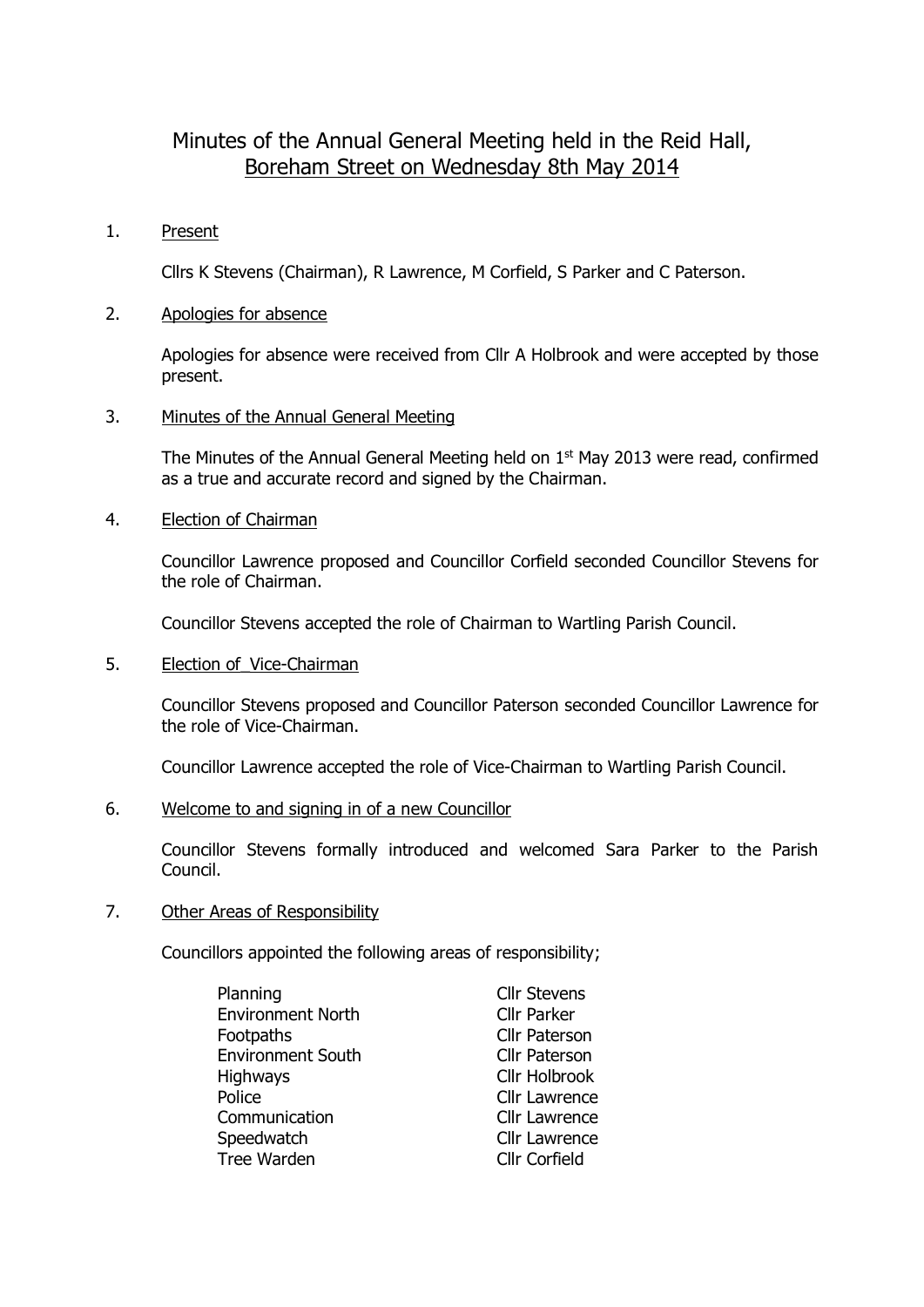# Minutes of the Annual General Meeting held in the Reid Hall, Boreham Street on Wednesday 8th May 2014

# 1. Present

Cllrs K Stevens (Chairman), R Lawrence, M Corfield, S Parker and C Paterson.

# 2. Apologies for absence

Apologies for absence were received from Cllr A Holbrook and were accepted by those present.

## 3. Minutes of the Annual General Meeting

The Minutes of the Annual General Meeting held on  $1<sup>st</sup>$  May 2013 were read, confirmed as a true and accurate record and signed by the Chairman.

4. Election of Chairman

Councillor Lawrence proposed and Councillor Corfield seconded Councillor Stevens for the role of Chairman.

Councillor Stevens accepted the role of Chairman to Wartling Parish Council.

5. Election of Vice-Chairman

Councillor Stevens proposed and Councillor Paterson seconded Councillor Lawrence for the role of Vice-Chairman.

Councillor Lawrence accepted the role of Vice-Chairman to Wartling Parish Council.

## 6. Welcome to and signing in of a new Councillor

Councillor Stevens formally introduced and welcomed Sara Parker to the Parish Council.

7. Other Areas of Responsibility

Councillors appointed the following areas of responsibility;

| <b>Cllr Stevens</b>  |
|----------------------|
| <b>Cllr Parker</b>   |
| <b>Cllr Paterson</b> |
| <b>Cllr Paterson</b> |
| Cllr Holbrook        |
| <b>Cllr Lawrence</b> |
| <b>Cllr Lawrence</b> |
| <b>Cllr Lawrence</b> |
| Cllr Corfield        |
|                      |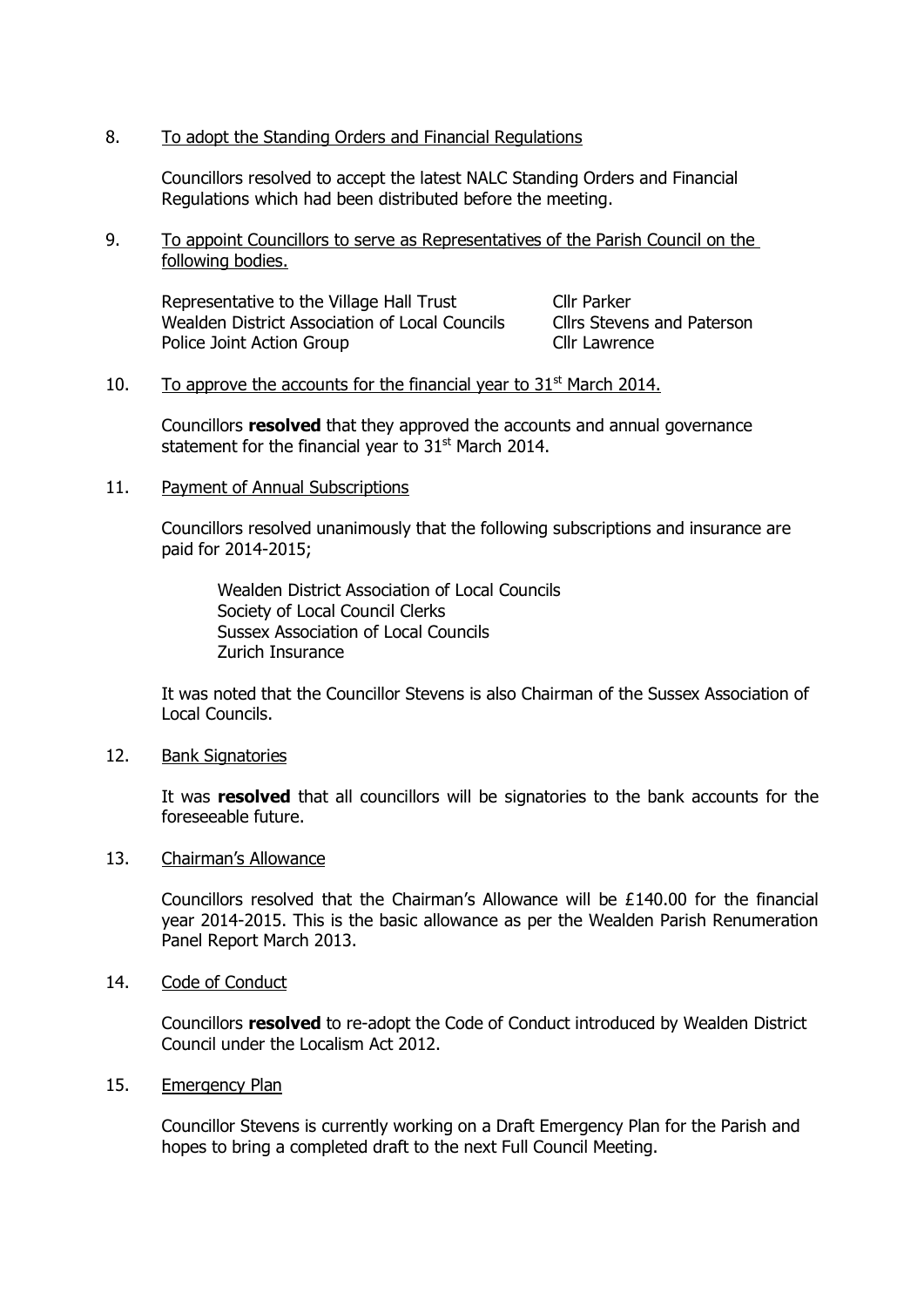# 8. To adopt the Standing Orders and Financial Regulations

Councillors resolved to accept the latest NALC Standing Orders and Financial Regulations which had been distributed before the meeting.

9. To appoint Councillors to serve as Representatives of the Parish Council on the following bodies.

Representative to the Village Hall Trust Cllr Parker Wealden District Association of Local Councils Cllrs Stevens and Paterson Police Joint Action Group Click Clin Lawrence

## 10. To approve the accounts for the financial year to  $31<sup>st</sup>$  March 2014.

Councillors **resolved** that they approved the accounts and annual governance statement for the financial year to 31<sup>st</sup> March 2014.

11. Payment of Annual Subscriptions

Councillors resolved unanimously that the following subscriptions and insurance are paid for 2014-2015;

Wealden District Association of Local Councils Society of Local Council Clerks Sussex Association of Local Councils Zurich Insurance

It was noted that the Councillor Stevens is also Chairman of the Sussex Association of Local Councils.

## 12. Bank Signatories

It was **resolved** that all councillors will be signatories to the bank accounts for the foreseeable future.

#### 13. Chairman's Allowance

Councillors resolved that the Chairman's Allowance will be £140.00 for the financial year 2014-2015. This is the basic allowance as per the Wealden Parish Renumeration Panel Report March 2013.

14. Code of Conduct

Councillors **resolved** to re-adopt the Code of Conduct introduced by Wealden District Council under the Localism Act 2012.

15. Emergency Plan

Councillor Stevens is currently working on a Draft Emergency Plan for the Parish and hopes to bring a completed draft to the next Full Council Meeting.